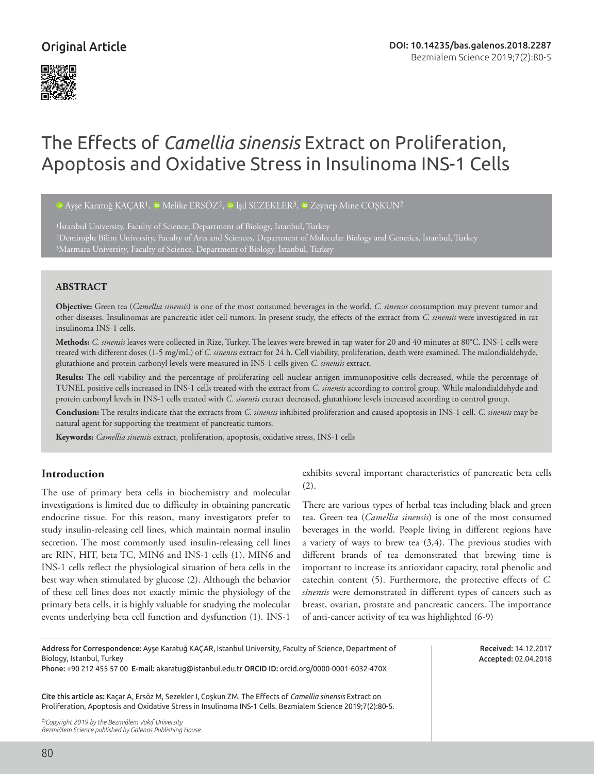# Original Article



# The Effects of *Camellia sinensis* Extract on Proliferation, Apoptosis and Oxidative Stress in Insulinoma INS-1 Cells

<sup>i</sup>DAyşe Karatuğ KAÇAR<sup>1</sup>, <sup>i</sup>D Melike ERSÖZ<sup>2</sup>, <sup>iD</sup> Işıl SEZEKLER<sup>3</sup>, <sup>iD</sup> Zeynep Mine COŞKUN<sup>2</sup>

<sup>1</sup>Istanbul University, Faculty of Science, Department of Biology, Istanbul, Turkey 2Demiroğlu Bilim University, Faculty of Arts and Sciences, Department of Molecular Biology and Genetics, İstanbul, Turkey 3Marmara University, Faculty of Science, Department of Biology, İstanbul, Turkey

#### **ABSTRACT**

**Objective:** Green tea (*Camellia sinensis*) is one of the most consumed beverages in the world. *C. sinensis* consumption may prevent tumor and other diseases. Insulinomas are pancreatic islet cell tumors. In present study, the effects of the extract from *C. sinensis* were investigated in rat insulinoma INS-1 cells.

**Methods:** *C. sinensis* leaves were collected in Rize, Turkey. The leaves were brewed in tap water for 20 and 40 minutes at 80°C. INS-1 cells were treated with different doses (1-5 mg/mL) of *C. sinensis* extract for 24 h. Cell viability, proliferation, death were examined. The malondialdehyde, glutathione and protein carbonyl levels were measured in INS-1 cells given *C. sinensis* extract.

**Results:** The cell viability and the percentage of proliferating cell nuclear antigen immunopositive cells decreased, while the percentage of TUNEL positive cells increased in INS-1 cells treated with the extract from *C. sinensis* according to control group. While malondialdehyde and protein carbonyl levels in INS-1 cells treated with *C. sinensis* extract decreased, glutathione levels increased according to control group.

**Conclusion:** The results indicate that the extracts from *C. sinensis* inhibited proliferation and caused apoptosis in INS-1 cell. *C. sinensis* may be natural agent for supporting the treatment of pancreatic tumors.

**Keywords:** *Camellia sinensis* extract, proliferation, apoptosis, oxidative stress, INS-1 cells

#### **Introduction**

The use of primary beta cells in biochemistry and molecular investigations is limited due to difficulty in obtaining pancreatic endocrine tissue. For this reason, many investigators prefer to study insulin-releasing cell lines, which maintain normal insulin secretion. The most commonly used insulin-releasing cell lines are RIN, HIT, beta TC, MIN6 and INS-1 cells (1). MIN6 and INS-1 cells reflect the physiological situation of beta cells in the best way when stimulated by glucose (2). Although the behavior of these cell lines does not exactly mimic the physiology of the primary beta cells, it is highly valuable for studying the molecular events underlying beta cell function and dysfunction (1). INS-1

exhibits several important characteristics of pancreatic beta cells (2).

There are various types of herbal teas including black and green tea. Green tea (*Camellia sinensis*) is one of the most consumed beverages in the world. People living in different regions have a variety of ways to brew tea (3,4). The previous studies with different brands of tea demonstrated that brewing time is important to increase its antioxidant capacity, total phenolic and catechin content (5). Furthermore, the protective effects of *C. sinensis* were demonstrated in different types of cancers such as breast, ovarian, prostate and pancreatic cancers. The importance of anti-cancer activity of tea was highlighted (6-9)

> Received: 14.12.2017 Accepted: 02.04.2018

Address for Correspondence: Ayşe Karatuğ KAÇAR, Istanbul University, Faculty of Science, Department of Biology, Istanbul, Turkey Phone: +90 212 455 57 00 E-mail: akaratug@istanbul.edu.tr ORCID ID: orcid.org/0000-0001-6032-470X Cite this article as: Kaçar A, Ersöz M, Sezekler I, Coşkun ZM. The Effects of *Camellia sinensis* Extract on Proliferation, Apoptosis and Oxidative Stress in Insulinoma INS-1 Cells. Bezmialem Science 2019;7(2):80-5.

*©Copyright 2019 by the Bezmiâlem Vakıf University Bezmiâlem Science published by Galenos Publishing House.*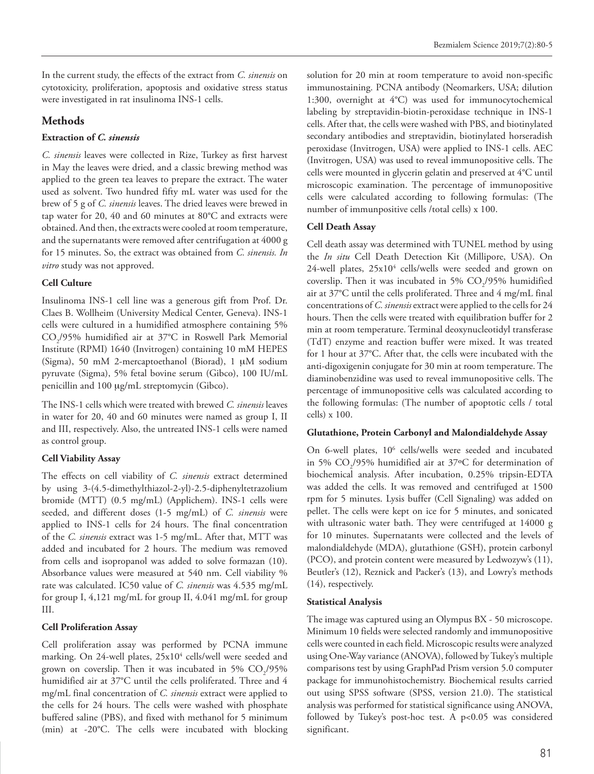In the current study, the effects of the extract from *C. sinensis* on cytotoxicity, proliferation, apoptosis and oxidative stress status were investigated in rat insulinoma INS-1 cells.

# **Methods**

#### **Extraction of** *C. sinensis*

*C. sinensis* leaves were collected in Rize, Turkey as first harvest in May the leaves were dried, and a classic brewing method was applied to the green tea leaves to prepare the extract. The water used as solvent. Two hundred fifty mL water was used for the brew of 5 g of *C. sinensis* leaves. The dried leaves were brewed in tap water for 20, 40 and 60 minutes at 80°C and extracts were obtained. And then, the extracts were cooled at room temperature, and the supernatants were removed after centrifugation at 4000 g for 15 minutes. So, the extract was obtained from *C. sinensis. In vitro* study was not approved.

# **Cell Culture**

Insulinoma INS-1 cell line was a generous gift from Prof. Dr. Claes B. Wollheim (University Medical Center, Geneva). INS-1 cells were cultured in a humidified atmosphere containing 5% CO2 /95% humidified air at 37°C in Roswell Park Memorial Institute (RPMI) 1640 (Invitrogen) containing 10 mM HEPES (Sigma), 50 mM 2-mercaptoethanol (Biorad), 1 µM sodium pyruvate (Sigma), 5% fetal bovine serum (Gibco), 100 IU/mL penicillin and 100 µg/mL streptomycin (Gibco).

The INS-1 cells which were treated with brewed *C. sinensis* leaves in water for 20, 40 and 60 minutes were named as group I, II and III, respectively. Also, the untreated INS-1 cells were named as control group.

# **Cell Viability Assay**

The effects on cell viability of *C. sinensis* extract determined by using 3-(4.5-dimethylthiazol-2-yl)-2.5-diphenyltetrazolium bromide (MTT) (0.5 mg/mL) (Applichem). INS-1 cells were seeded, and different doses (1-5 mg/mL) of *C. sinensis* were applied to INS-1 cells for 24 hours. The final concentration of the *C. sinensis* extract was 1-5 mg/mL. After that, MTT was added and incubated for 2 hours. The medium was removed from cells and isopropanol was added to solve formazan (10). Absorbance values were measured at 540 nm. Cell viability % rate was calculated. IC50 value of *C. sinensis* was 4.535 mg/mL for group I, 4,121 mg/mL for group II, 4.041 mg/mL for group III.

#### **Cell Proliferation Assay**

Cell proliferation assay was performed by PCNA immune marking. On 24-well plates, 25x10<sup>4</sup> cells/well were seeded and grown on coverslip. Then it was incubated in 5%  $CO<sub>2</sub>/95%$ humidified air at 37°C until the cells proliferated. Three and 4 mg/mL final concentration of *C. sinensis* extract were applied to the cells for 24 hours. The cells were washed with phosphate buffered saline (PBS), and fixed with methanol for 5 minimum (min) at -20°C. The cells were incubated with blocking

solution for 20 min at room temperature to avoid non-specific immunostaining. PCNA antibody (Neomarkers, USA; dilution 1:300, overnight at 4°C) was used for immunocytochemical labeling by streptavidin-biotin-peroxidase technique in INS-1 cells. After that, the cells were washed with PBS, and biotinylated secondary antibodies and streptavidin, biotinylated horseradish peroxidase (Invitrogen, USA) were applied to INS-1 cells. AEC (Invitrogen, USA) was used to reveal immunopositive cells. The cells were mounted in glycerin gelatin and preserved at 4°C until microscopic examination. The percentage of immunopositive cells were calculated according to following formulas: (The number of immunpositive cells /total cells) x 100.

# **Cell Death Assay**

Cell death assay was determined with TUNEL method by using the *In situ* Cell Death Detection Kit (Millipore, USA). On 24-well plates, 25x10<sup>4</sup> cells/wells were seeded and grown on coverslip. Then it was incubated in 5%  $CO<sub>2</sub>/95%$  humidified air at 37°C until the cells proliferated. Three and 4 mg/mL final concentrations of *C. sinensis* extract were applied to the cells for 24 hours. Then the cells were treated with equilibration buffer for 2 min at room temperature. Terminal deoxynucleotidyl transferase (TdT) enzyme and reaction buffer were mixed. It was treated for 1 hour at 37°C. After that, the cells were incubated with the anti-digoxigenin conjugate for 30 min at room temperature. The diaminobenzidine was used to reveal immunopositive cells. The percentage of immunopositive cells was calculated according to the following formulas: (The number of apoptotic cells / total cells) x 100.

#### **Glutathione, Protein Carbonyl and Malondialdehyde Assay**

On 6-well plates, 10<sup>6</sup> cells/wells were seeded and incubated in 5%  $CO_2/95%$  humidified air at 37°C for determination of biochemical analysis. After incubation, 0.25% tripsin-EDTA was added the cells. It was removed and centrifuged at 1500 rpm for 5 minutes. Lysis buffer (Cell Signaling) was added on pellet. The cells were kept on ice for 5 minutes, and sonicated with ultrasonic water bath. They were centrifuged at 14000 g for 10 minutes. Supernatants were collected and the levels of malondialdehyde (MDA), glutathione (GSH), protein carbonyl (PCO), and protein content were measured by Ledwozyw's (11), Beutler's (12), Reznick and Packer's (13), and Lowry's methods (14), respectively.

#### **Statistical Analysis**

The image was captured using an Olympus BX - 50 microscope. Minimum 10 fields were selected randomly and immunopositive cells were counted in each field. Microscopic results were analyzed using One-Way variance (ANOVA), followed by Tukey's multiple comparisons test by using GraphPad Prism version 5.0 computer package for immunohistochemistry. Biochemical results carried out using SPSS software (SPSS, version 21.0). The statistical analysis was performed for statistical significance using ANOVA, followed by Tukey's post-hoc test. A p<0.05 was considered significant.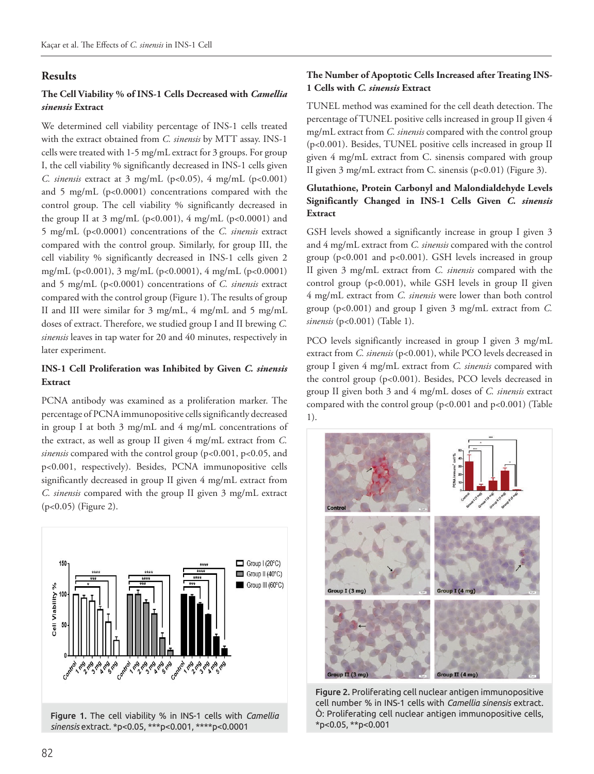#### **Results**

# **The Cell Viability % of INS-1 Cells Decreased with** *Camellia sinensis* **Extract**

We determined cell viability percentage of INS-1 cells treated with the extract obtained from *C. sinensis* by MTT assay. INS-1 cells were treated with 1-5 mg/mL extract for 3 groups. For group I, the cell viability % significantly decreased in INS-1 cells given *C. sinensis* extract at 3 mg/mL (p<0.05), 4 mg/mL (p<0.001) and 5 mg/mL (p<0.0001) concentrations compared with the control group. The cell viability % significantly decreased in the group II at  $3 \text{ mg/mL}$  (p<0.001),  $4 \text{ mg/mL}$  (p<0.0001) and 5 mg/mL (p<0.0001) concentrations of the *C. sinensis* extract compared with the control group. Similarly, for group III, the cell viability % significantly decreased in INS-1 cells given 2 mg/mL (p<0.001), 3 mg/mL (p<0.0001), 4 mg/mL (p<0.0001) and 5 mg/mL (p<0.0001) concentrations of *C. sinensis* extract compared with the control group (Figure 1). The results of group II and III were similar for 3 mg/mL, 4 mg/mL and 5 mg/mL doses of extract. Therefore, we studied group I and II brewing *C. sinensis* leaves in tap water for 20 and 40 minutes, respectively in later experiment.

#### **INS-1 Cell Proliferation was Inhibited by Given** *C. sinensis*  **Extract**

PCNA antibody was examined as a proliferation marker. The percentage of PCNA immunopositive cells significantly decreased in group I at both 3 mg/mL and 4 mg/mL concentrations of the extract, as well as group II given 4 mg/mL extract from *C. sinensis* compared with the control group (p<0.001, p<0.05, and p<0.001, respectively). Besides, PCNA immunopositive cells significantly decreased in group II given 4 mg/mL extract from *C. sinensis* compared with the group II given 3 mg/mL extract (p<0.05) (Figure 2).



Figure 1. The cell viability % in INS-1 cells with *Camellia sinensis* extract. \*p<0.05, \*\*\*p<0.001, \*\*\*\*p<0.0001

#### **The Number of Apoptotic Cells Increased after Treating INS-1 Cells with** *C. sinensis* **Extract**

TUNEL method was examined for the cell death detection. The percentage of TUNEL positive cells increased in group II given 4 mg/mL extract from *C. sinensis* compared with the control group (p<0.001). Besides, TUNEL positive cells increased in group II given 4 mg/mL extract from C. sinensis compared with group II given 3 mg/mL extract from C. sinensis (p<0.01) (Figure 3).

#### **Glutathione, Protein Carbonyl and Malondialdehyde Levels Significantly Changed in INS-1 Cells Given** *C. sinensis*  **Extract**

GSH levels showed a significantly increase in group I given 3 and 4 mg/mL extract from *C. sinensis* compared with the control group (p<0.001 and p<0.001). GSH levels increased in group II given 3 mg/mL extract from *C. sinensis* compared with the control group (p<0.001), while GSH levels in group II given 4 mg/mL extract from *C. sinensis* were lower than both control group (p<0.001) and group I given 3 mg/mL extract from *C. sinensis* (p<0.001) (Table 1).

PCO levels significantly increased in group I given 3 mg/mL extract from *C. sinensis* (p<0.001), while PCO levels decreased in group I given 4 mg/mL extract from *C. sinensis* compared with the control group (p<0.001). Besides, PCO levels decreased in group II given both 3 and 4 mg/mL doses of *C. sinensis* extract compared with the control group (p<0.001 and p<0.001) (Table 1).



Figure 2. Proliferating cell nuclear antigen immunopositive cell number % in INS-1 cells with *Camellia sinensis* extract. Ò: Proliferating cell nuclear antigen immunopositive cells, \*p<0.05, \*\*p<0.001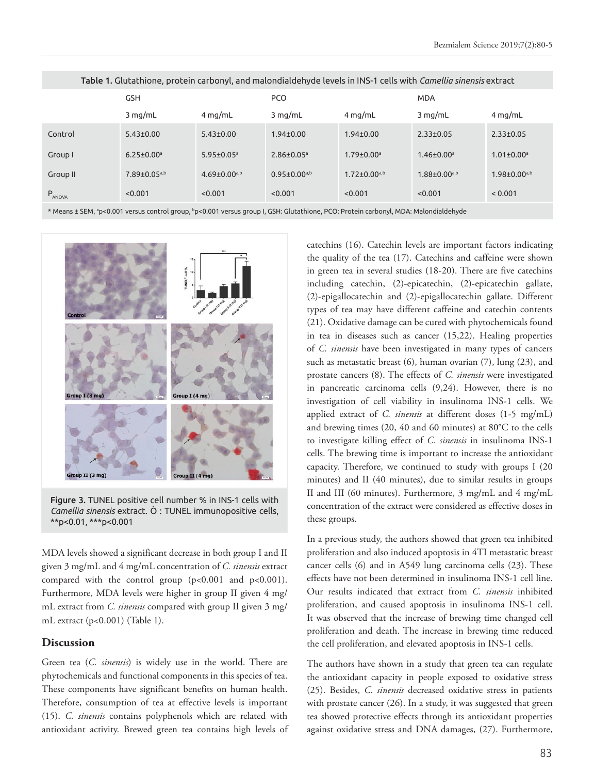|             | <b>GSH</b>                     |                              | <b>PCO</b>                   |                              | <b>MDA</b>                   |                              |
|-------------|--------------------------------|------------------------------|------------------------------|------------------------------|------------------------------|------------------------------|
|             | $3$ mg/mL                      | $4$ mg/mL                    | $3$ mg/mL                    | $4$ mg/mL                    | $3$ mg/mL                    | $4$ mg/mL                    |
| Control     | $5.43 \pm 0.00$                | $5.43 \pm 0.00$              | $1.94 \pm 0.00$              | $1.94 \pm 0.00$              | $2.33 \pm 0.05$              | $2.33 \pm 0.05$              |
| Group I     | $6.25 \pm 0.00$ <sup>a</sup>   | $5.95 \pm 0.05$ <sup>a</sup> | $2.86 \pm 0.05$ <sup>a</sup> | $1.79 \pm 0.00$ <sup>a</sup> | $1.46 \pm 0.00$ <sup>a</sup> | $1.01 \pm 0.00$ <sup>a</sup> |
| Group II    | $7.89 \pm 0.05$ <sup>a,b</sup> | $4.69 \pm 0.00^{a,b}$        | $0.95 \pm 0.00^{a,b}$        | $1.72 \pm 0.00^{a,b}$        | $1.88 \pm 0.00^{a,b}$        | $1.98 \pm 0.00^{a,b}$        |
| $P_{ANOVA}$ | < 0.001                        | < 0.001                      | < 0.001                      | < 0.001                      | < 0.001                      | < 0.001                      |

Table 1. Glutathione, protein carbonyl, and malondialdehyde levels in INS-1 cells with *Camellia sinensis* extract

\* Means ± SEM, ªp<0.001 versus control group, <sup>b</sup>p<0.001 versus group I, GSH: Glutathione, PCO: Protein carbonyl, MDA: Malondialdehyde



Figure 3. TUNEL positive cell number % in INS-1 cells with *Camellia sinensis* extract. Ò : TUNEL immunopositive cells, \*\*p<0.01, \*\*\*p<0.001

MDA levels showed a significant decrease in both group I and II given 3 mg/mL and 4 mg/mL concentration of *C. sinensis* extract compared with the control group (p<0.001 and p<0.001). Furthermore, MDA levels were higher in group II given 4 mg/ mL extract from *C. sinensis* compared with group II given 3 mg/ mL extract (p<0.001) (Table 1).

#### **Discussion**

Green tea (*C. sinensis*) is widely use in the world. There are phytochemicals and functional components in this species of tea. These components have significant benefits on human health. Therefore, consumption of tea at effective levels is important (15). *C. sinensis* contains polyphenols which are related with antioxidant activity. Brewed green tea contains high levels of catechins (16). Catechin levels are important factors indicating the quality of the tea (17). Catechins and caffeine were shown in green tea in several studies (18-20). There are five catechins including catechin, (2)-epicatechin, (2)-epicatechin gallate, (2)-epigallocatechin and (2)-epigallocatechin gallate. Different types of tea may have different caffeine and catechin contents (21). Oxidative damage can be cured with phytochemicals found in tea in diseases such as cancer (15,22). Healing properties of *C. sinensis* have been investigated in many types of cancers such as metastatic breast (6), human ovarian (7), lung (23), and prostate cancers (8). The effects of *C. sinensis* were investigated in pancreatic carcinoma cells (9,24). However, there is no investigation of cell viability in insulinoma INS-1 cells. We applied extract of *C. sinensis* at different doses (1-5 mg/mL) and brewing times (20, 40 and 60 minutes) at 80°C to the cells to investigate killing effect of *C. sinensis* in insulinoma INS-1 cells. The brewing time is important to increase the antioxidant capacity. Therefore, we continued to study with groups I (20 minutes) and II (40 minutes), due to similar results in groups II and III (60 minutes). Furthermore, 3 mg/mL and 4 mg/mL concentration of the extract were considered as effective doses in these groups.

In a previous study, the authors showed that green tea inhibited proliferation and also induced apoptosis in 4TI metastatic breast cancer cells (6) and in A549 lung carcinoma cells (23). These effects have not been determined in insulinoma INS-1 cell line. Our results indicated that extract from *C. sinensis* inhibited proliferation, and caused apoptosis in insulinoma INS-1 cell. It was observed that the increase of brewing time changed cell proliferation and death. The increase in brewing time reduced the cell proliferation, and elevated apoptosis in INS-1 cells.

The authors have shown in a study that green tea can regulate the antioxidant capacity in people exposed to oxidative stress (25). Besides, *C. sinensis* decreased oxidative stress in patients with prostate cancer (26). In a study, it was suggested that green tea showed protective effects through its antioxidant properties against oxidative stress and DNA damages, (27). Furthermore,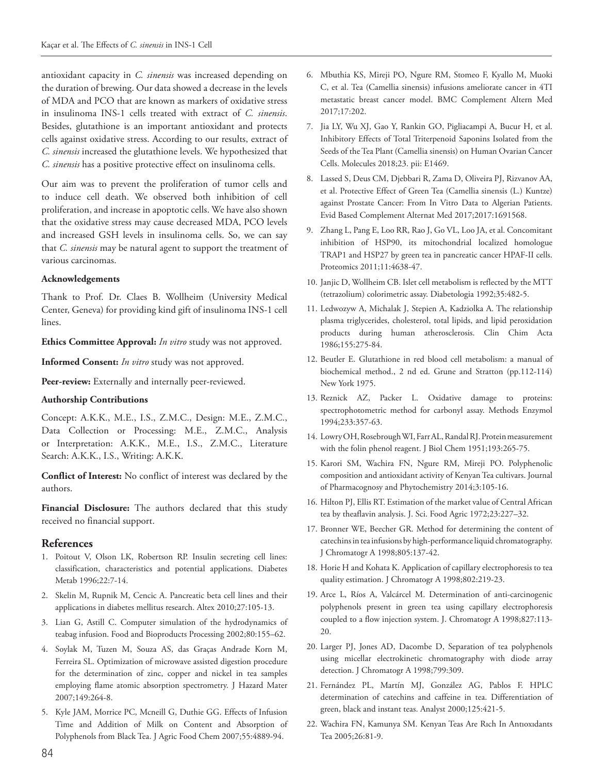antioxidant capacity in *C. sinensis* was increased depending on the duration of brewing. Our data showed a decrease in the levels of MDA and PCO that are known as markers of oxidative stress in insulinoma INS-1 cells treated with extract of *C. sinensis*. Besides, glutathione is an important antioxidant and protects cells against oxidative stress. According to our results, extract of *C. sinensis* increased the glutathione levels. We hypothesized that *C. sinensis* has a positive protective effect on insulinoma cells.

Our aim was to prevent the proliferation of tumor cells and to induce cell death. We observed both inhibition of cell proliferation, and increase in apoptotic cells. We have also shown that the oxidative stress may cause decreased MDA, PCO levels and increased GSH levels in insulinoma cells. So, we can say that *C. sinensis* may be natural agent to support the treatment of various carcinomas.

#### **Acknowledgements**

Thank to Prof. Dr. Claes B. Wollheim (University Medical Center, Geneva) for providing kind gift of insulinoma INS-1 cell lines.

**Ethics Committee Approval:** *In vitro* study was not approved.

**Informed Consent:** *In vitro* study was not approved.

Peer-review: Externally and internally peer-reviewed.

#### **Authorship Contributions**

Concept: A.K.K., M.E., I.S., Z.M.C., Design: M.E., Z.M.C., Data Collection or Processing: M.E., Z.M.C., Analysis or Interpretation: A.K.K., M.E., I.S., Z.M.C., Literature Search: A.K.K., I.S., Writing: A.K.K.

**Conflict of Interest:** No conflict of interest was declared by the authors.

**Financial Disclosure:** The authors declared that this study received no financial support.

#### **References**

- 1. Poitout V, Olson LK, Robertson RP. Insulin secreting cell lines: classification, characteristics and potential applications. Diabetes Metab 1996;22:7-14.
- 2. Skelin M, Rupnik M, Cencic A. Pancreatic beta cell lines and their applications in diabetes mellitus research. Altex 2010;27:105-13.
- 3. Lian G, Astill C. Computer simulation of the hydrodynamics of teabag infusion. Food and Bioproducts Processing 2002;80:155–62.
- 4. Soylak M, Tuzen M, Souza AS, das Graças Andrade Korn M, Ferreira SL. Optimization of microwave assisted digestion procedure for the determination of zinc, copper and nickel in tea samples employing flame atomic absorption spectrometry. J Hazard Mater 2007;149:264-8.
- 5. Kyle JAM, Morrice PC, Mcneill G, Duthie GG. Effects of Infusion Time and Addition of Milk on Content and Absorption of Polyphenols from Black Tea. J Agric Food Chem 2007;55:4889-94.
- 6. Mbuthia KS, Mireji PO, Ngure RM, Stomeo F, Kyallo M, Muoki C, et al. Tea (Camellia sinensis) infusions ameliorate cancer in 4TI metastatic breast cancer model. BMC Complement Altern Med 2017;17:202.
- 7. Jia LY, Wu XJ, Gao Y, Rankin GO, Pigliacampi A, Bucur H, et al. Inhibitory Effects of Total Triterpenoid Saponins Isolated from the Seeds of the Tea Plant (Camellia sinensis) on Human Ovarian Cancer Cells. Molecules 2018;23. pii: E1469.
- 8. Lassed S, Deus CM, Djebbari R, Zama D, Oliveira PJ, Rizvanov AA, et al. Protective Effect of Green Tea (Camellia sinensis (L.) Kuntze) against Prostate Cancer: From In Vitro Data to Algerian Patients. Evid Based Complement Alternat Med 2017;2017:1691568.
- 9. Zhang L, Pang E, Loo RR, Rao J, Go VL, Loo JA, et al. Concomitant inhibition of HSP90, its mitochondrial localized homologue TRAP1 and HSP27 by green tea in pancreatic cancer HPAF-II cells. Proteomics 2011;11:4638-47.
- 10. Janjic D, Wollheim CB. Islet cell metabolism is reflected by the MTT (tetrazolium) colorimetric assay. Diabetologia 1992;35:482-5.
- 11. Ledwozyw A, Michalak J, Stepien A, Kadziolka A. The relationship plasma triglycerides, cholesterol, total lipids, and lipid peroxidation products during human atherosclerosis. Clin Chim Acta 1986;155:275-84.
- 12. Beutler E. Glutathione in red blood cell metabolism: a manual of biochemical method., 2 nd ed. Grune and Stratton (pp.112-114) New York 1975.
- 13. Reznick AZ, Packer L. Oxidative damage to proteins: spectrophotometric method for carbonyl assay. Methods Enzymol 1994;233:357-63.
- 14. Lowry OH, Rosebrough WI, Farr AL, Randal RJ. Protein measurement with the folin phenol reagent. J Biol Chem 1951;193:265-75.
- 15. Karori SM, Wachira FN, Ngure RM, Mireji PO. Polyphenolic composition and antioxidant activity of Kenyan Tea cultivars. Journal of Pharmacognosy and Phytochemistry 2014;3:105-16.
- 16. Hilton PJ, Ellis RT. Estimation of the market value of Central African tea by theaflavin analysis. J. Sci. Food Agric 1972;23:227–32.
- 17. Bronner WE, Beecher GR. Method for determining the content of catechins in tea infusions by high-performance liquid chromatography. J Chromatogr A 1998;805:137-42.
- 18. Horie H and Kohata K. Application of capillary electrophoresis to tea quality estimation. J Chromatogr A 1998;802:219-23.
- 19. Arce L, Ríos A, Valcárcel M. Determination of anti-carcinogenic polyphenols present in green tea using capillary electrophoresis coupled to a flow injection system. J. Chromatogr A 1998;827:113- 20.
- 20. Larger PJ, Jones AD, Dacombe D, Separation of tea polyphenols using micellar electrokinetic chromatography with diode array detection. J Chromatogr A 1998;799:309.
- 21. Fernández PL, Martín MJ, González AG, Pablos F. HPLC determination of catechins and caffeine in tea. Differentiation of green, black and instant teas. Analyst 2000;125:421-5.
- 22. Wachira FN, Kamunya SM. Kenyan Teas Are Rıch In Antıoxıdants Tea 2005;26:81-9.